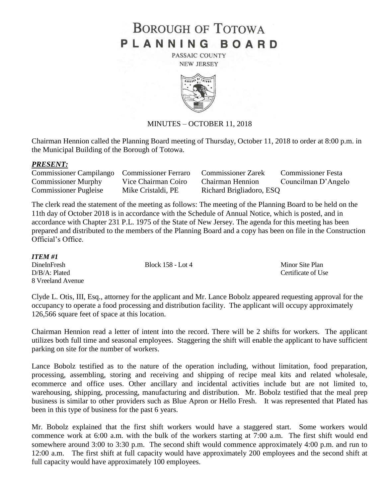# **BOROUGH OF TOTOWA** PLANNING BOARD

PASSAIC COUNTY **NEW JERSEY** 



### MINUTES – OCTOBER 11, 2018

Chairman Hennion called the Planning Board meeting of Thursday, October 11, 2018 to order at 8:00 p.m. in the Municipal Building of the Borough of Totowa.

#### *PRESENT:*

| Commissioner Campilango Commissioner Ferraro |                     | <b>Commissioner Zarek</b> | <b>Commissioner Festa</b> |
|----------------------------------------------|---------------------|---------------------------|---------------------------|
| <b>Commissioner Murphy</b>                   | Vice Chairman Coiro | <b>Chairman Hennion</b>   | Councilman D'Angelo       |
| <b>Commissioner Pugleise</b>                 | Mike Cristaldi, PE  | Richard Brigliadoro, ESQ  |                           |

The clerk read the statement of the meeting as follows: The meeting of the Planning Board to be held on the 11th day of October 2018 is in accordance with the Schedule of Annual Notice, which is posted, and in accordance with Chapter 231 P.L. 1975 of the State of New Jersey. The agenda for this meeting has been prepared and distributed to the members of the Planning Board and a copy has been on file in the Construction Official's Office.

| ITEM #1           |                   |                    |
|-------------------|-------------------|--------------------|
| DineInFresh       | Block 158 - Lot 4 | Minor Site Plan    |
| D/B/A: Plated     |                   | Certificate of Use |
| 8 Vreeland Avenue |                   |                    |

Clyde L. Otis, III, Esq., attorney for the applicant and Mr. Lance Bobolz appeared requesting approval for the occupancy to operate a food processing and distribution facility. The applicant will occupy approximately 126,566 square feet of space at this location.

Chairman Hennion read a letter of intent into the record. There will be 2 shifts for workers. The applicant utilizes both full time and seasonal employees. Staggering the shift will enable the applicant to have sufficient parking on site for the number of workers.

Lance Bobolz testified as to the nature of the operation including, without limitation, food preparation, processing, assembling, storing and receiving and shipping of recipe meal kits and related wholesale, ecommerce and office uses. Other ancillary and incidental activities include but are not limited to, warehousing, shipping, processing, manufacturing and distribution. Mr. Bobolz testified that the meal prep business is similar to other providers such as Blue Apron or Hello Fresh. It was represented that Plated has been in this type of business for the past 6 years.

Mr. Bobolz explained that the first shift workers would have a staggered start. Some workers would commence work at 6:00 a.m. with the bulk of the workers starting at 7:00 a.m. The first shift would end somewhere around 3:00 to 3:30 p.m. The second shift would commence approximately 4:00 p.m. and run to 12:00 a.m. The first shift at full capacity would have approximately 200 employees and the second shift at full capacity would have approximately 100 employees.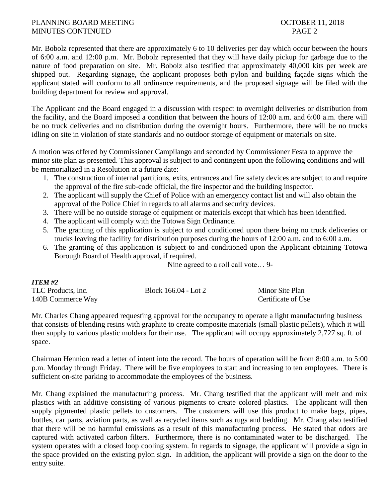## PLANNING BOARD MEETING **DEEPING COLORER 11, 2018** MINUTES CONTINUED PAGE 2

Mr. Bobolz represented that there are approximately 6 to 10 deliveries per day which occur between the hours of 6:00 a.m. and 12:00 p.m. Mr. Bobolz represented that they will have daily pickup for garbage due to the nature of food preparation on site. Mr. Bobolz also testified that approximately 40,000 kits per week are shipped out. Regarding signage, the applicant proposes both pylon and building façade signs which the applicant stated will conform to all ordinance requirements, and the proposed signage will be filed with the building department for review and approval.

The Applicant and the Board engaged in a discussion with respect to overnight deliveries or distribution from the facility, and the Board imposed a condition that between the hours of 12:00 a.m. and 6:00 a.m. there will be no truck deliveries and no distribution during the overnight hours. Furthermore, there will be no trucks idling on site in violation of state standards and no outdoor storage of equipment or materials on site.

A motion was offered by Commissioner Campilango and seconded by Commissioner Festa to approve the minor site plan as presented. This approval is subject to and contingent upon the following conditions and will be memorialized in a Resolution at a future date:

- 1. The construction of internal partitions, exits, entrances and fire safety devices are subject to and require the approval of the fire sub-code official, the fire inspector and the building inspector.
- 2. The applicant will supply the Chief of Police with an emergency contact list and will also obtain the approval of the Police Chief in regards to all alarms and security devices.
- 3. There will be no outside storage of equipment or materials except that which has been identified.
- 4. The applicant will comply with the Totowa Sign Ordinance.
- 5. The granting of this application is subject to and conditioned upon there being no truck deliveries or trucks leaving the facility for distribution purposes during the hours of 12:00 a.m. and to 6:00 a.m.
- 6. The granting of this application is subject to and conditioned upon the Applicant obtaining Totowa Borough Board of Health approval, if required.

Nine agreed to a roll call vote… 9-

| ITEM #2            |                      |                    |
|--------------------|----------------------|--------------------|
| TLC Products, Inc. | Block 166.04 - Lot 2 | Minor Site Plan    |
| 140B Commerce Way  |                      | Certificate of Use |

Mr. Charles Chang appeared requesting approval for the occupancy to operate a light manufacturing business that consists of blending resins with graphite to create composite materials (small plastic pellets), which it will then supply to various plastic molders for their use. The applicant will occupy approximately 2,727 sq. ft. of space.

Chairman Hennion read a letter of intent into the record. The hours of operation will be from 8:00 a.m. to 5:00 p.m. Monday through Friday. There will be five employees to start and increasing to ten employees. There is sufficient on-site parking to accommodate the employees of the business.

Mr. Chang explained the manufacturing process. Mr. Chang testified that the applicant will melt and mix plastics with an additive consisting of various pigments to create colored plastics. The applicant will then supply pigmented plastic pellets to customers. The customers will use this product to make bags, pipes, bottles, car parts, aviation parts, as well as recycled items such as rugs and bedding. Mr. Chang also testified that there will be no harmful emissions as a result of this manufacturing process. He stated that odors are captured with activated carbon filters. Furthermore, there is no contaminated water to be discharged. The system operates with a closed loop cooling system. In regards to signage, the applicant will provide a sign in the space provided on the existing pylon sign. In addition, the applicant will provide a sign on the door to the entry suite.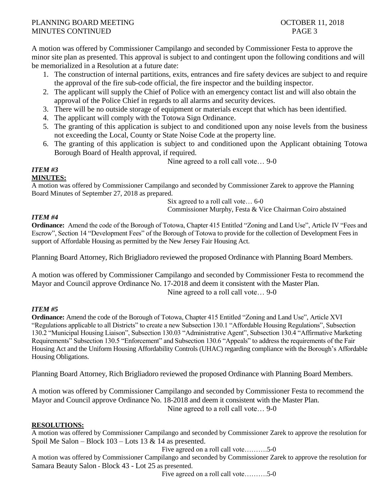# PLANNING BOARD MEETING **DEEPING COLORER 11, 2018** MINUTES CONTINUED PAGE 3

A motion was offered by Commissioner Campilango and seconded by Commissioner Festa to approve the minor site plan as presented. This approval is subject to and contingent upon the following conditions and will be memorialized in a Resolution at a future date:

- 1. The construction of internal partitions, exits, entrances and fire safety devices are subject to and require the approval of the fire sub-code official, the fire inspector and the building inspector.
- 2. The applicant will supply the Chief of Police with an emergency contact list and will also obtain the approval of the Police Chief in regards to all alarms and security devices.
- 3. There will be no outside storage of equipment or materials except that which has been identified.
- 4. The applicant will comply with the Totowa Sign Ordinance.
- 5. The granting of this application is subject to and conditioned upon any noise levels from the business not exceeding the Local, County or State Noise Code at the property line.
- 6. The granting of this application is subject to and conditioned upon the Applicant obtaining Totowa Borough Board of Health approval, if required.

Nine agreed to a roll call vote… 9-0

# *ITEM #3*

**MINUTES:**

A motion was offered by Commissioner Campilango and seconded by Commissioner Zarek to approve the Planning Board Minutes of September 27, 2018 as prepared.

Six agreed to a roll call vote… 6-0

Commissioner Murphy, Festa & Vice Chairman Coiro abstained

# *ITEM #4*

**Ordinance:** Amend the code of the Borough of Totowa, Chapter 415 Entitled "Zoning and Land Use", Article IV "Fees and Escrow", Section 14 "Development Fees" of the Borough of Totowa to provide for the collection of Development Fees in support of Affordable Housing as permitted by the New Jersey Fair Housing Act.

Planning Board Attorney, Rich Brigliadoro reviewed the proposed Ordinance with Planning Board Members.

A motion was offered by Commissioner Campilango and seconded by Commissioner Festa to recommend the Mayor and Council approve Ordinance No. 17-2018 and deem it consistent with the Master Plan. Nine agreed to a roll call vote… 9-0

# *ITEM #5*

**Ordinance:** Amend the code of the Borough of Totowa, Chapter 415 Entitled "Zoning and Land Use", Article XVI "Regulations applicable to all Districts" to create a new Subsection 130.1 "Affordable Housing Regulations", Subsection 130.2 "Municipal Housing Liaison", Subsection 130.03 "Administrative Agent", Subsection 130.4 "Affirmative Marketing Requirements" Subsection 130.5 "Enforcement" and Subsection 130.6 "Appeals" to address the requirements of the Fair Housing Act and the Uniform Housing Affordability Controls (UHAC) regarding compliance with the Borough's Affordable Housing Obligations.

Planning Board Attorney, Rich Brigliadoro reviewed the proposed Ordinance with Planning Board Members.

A motion was offered by Commissioner Campilango and seconded by Commissioner Festa to recommend the Mayor and Council approve Ordinance No. 18-2018 and deem it consistent with the Master Plan. Nine agreed to a roll call vote… 9-0

# **RESOLUTIONS:**

A motion was offered by Commissioner Campilango and seconded by Commissioner Zarek to approve the resolution for Spoil Me Salon – Block 103 – Lots 13 & 14 as presented.

Five agreed on a roll call vote……….5-0

A motion was offered by Commissioner Campilango and seconded by Commissioner Zarek to approve the resolution for Samara Beauty Salon *-* Block 43 - Lot 25 as presented.

Five agreed on a roll call vote……….5-0